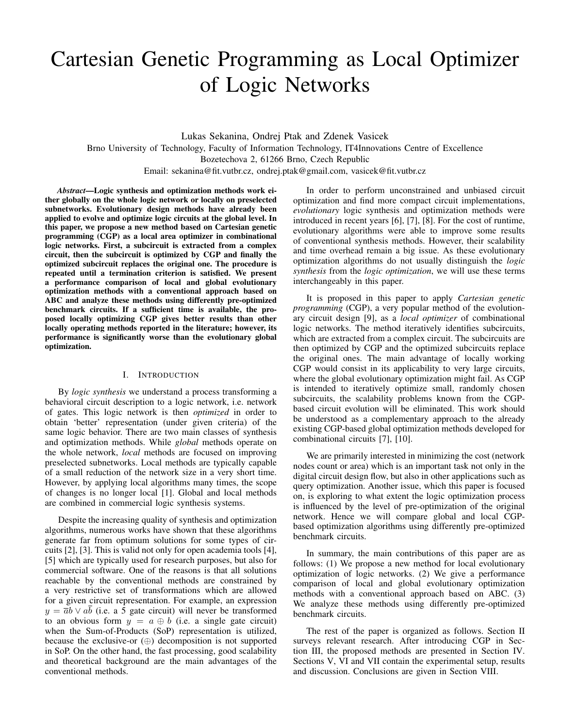# Cartesian Genetic Programming as Local Optimizer of Logic Networks

Lukas Sekanina, Ondrej Ptak and Zdenek Vasicek Brno University of Technology, Faculty of Information Technology, IT4Innovations Centre of Excellence Bozetechova 2, 61266 Brno, Czech Republic Email: sekanina@fit.vutbr.cz, ondrej.ptak@gmail.com, vasicek@fit.vutbr.cz

*Abstract*—Logic synthesis and optimization methods work either globally on the whole logic network or locally on preselected subnetworks. Evolutionary design methods have already been applied to evolve and optimize logic circuits at the global level. In this paper, we propose a new method based on Cartesian genetic programming (CGP) as a local area optimizer in combinational logic networks. First, a subcircuit is extracted from a complex circuit, then the subcircuit is optimized by CGP and finally the optimized subcircuit replaces the original one. The procedure is repeated until a termination criterion is satisfied. We present a performance comparison of local and global evolutionary optimization methods with a conventional approach based on ABC and analyze these methods using differently pre-optimized benchmark circuits. If a sufficient time is available, the proposed locally optimizing CGP gives better results than other locally operating methods reported in the literature; however, its performance is significantly worse than the evolutionary global optimization.

## I. INTRODUCTION

By *logic synthesis* we understand a process transforming a behavioral circuit description to a logic network, i.e. network of gates. This logic network is then *optimized* in order to obtain 'better' representation (under given criteria) of the same logic behavior. There are two main classes of synthesis and optimization methods. While *global* methods operate on the whole network, *local* methods are focused on improving preselected subnetworks. Local methods are typically capable of a small reduction of the network size in a very short time. However, by applying local algorithms many times, the scope of changes is no longer local [1]. Global and local methods are combined in commercial logic synthesis systems.

Despite the increasing quality of synthesis and optimization algorithms, numerous works have shown that these algorithms generate far from optimum solutions for some types of circuits [2], [3]. This is valid not only for open academia tools [4], [5] which are typically used for research purposes, but also for commercial software. One of the reasons is that all solutions reachable by the conventional methods are constrained by a very restrictive set of transformations which are allowed for a given circuit representation. For example, an expression  $y = \overline{a}b \vee a\overline{b}$  (i.e. a 5 gate circuit) will never be transformed to an obvious form  $y = a \oplus b$  (i.e. a single gate circuit) when the Sum-of-Products (SoP) representation is utilized, because the exclusive-or (⊕) decomposition is not supported in SoP. On the other hand, the fast processing, good scalability and theoretical background are the main advantages of the conventional methods.

In order to perform unconstrained and unbiased circuit optimization and find more compact circuit implementations, *evolutionary* logic synthesis and optimization methods were introduced in recent years [6], [7], [8]. For the cost of runtime, evolutionary algorithms were able to improve some results of conventional synthesis methods. However, their scalability and time overhead remain a big issue. As these evolutionary optimization algorithms do not usually distinguish the *logic synthesis* from the *logic optimization*, we will use these terms interchangeably in this paper.

It is proposed in this paper to apply *Cartesian genetic programming* (CGP), a very popular method of the evolutionary circuit design [9], as a *local optimizer* of combinational logic networks. The method iteratively identifies subcircuits, which are extracted from a complex circuit. The subcircuits are then optimized by CGP and the optimized subcircuits replace the original ones. The main advantage of locally working CGP would consist in its applicability to very large circuits, where the global evolutionary optimization might fail. As CGP is intended to iteratively optimize small, randomly chosen subcircuits, the scalability problems known from the CGPbased circuit evolution will be eliminated. This work should be understood as a complementary approach to the already existing CGP-based global optimization methods developed for combinational circuits [7], [10].

We are primarily interested in minimizing the cost (network nodes count or area) which is an important task not only in the digital circuit design flow, but also in other applications such as query optimization. Another issue, which this paper is focused on, is exploring to what extent the logic optimization process is influenced by the level of pre-optimization of the original network. Hence we will compare global and local CGPbased optimization algorithms using differently pre-optimized benchmark circuits.

In summary, the main contributions of this paper are as follows: (1) We propose a new method for local evolutionary optimization of logic networks. (2) We give a performance comparison of local and global evolutionary optimization methods with a conventional approach based on ABC. (3) We analyze these methods using differently pre-optimized benchmark circuits.

The rest of the paper is organized as follows. Section II surveys relevant research. After introducing CGP in Section III, the proposed methods are presented in Section IV. Sections V, VI and VII contain the experimental setup, results and discussion. Conclusions are given in Section VIII.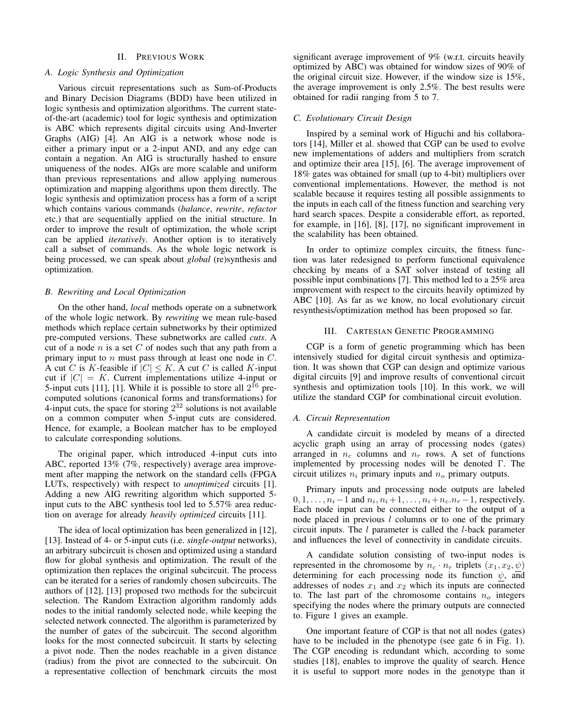# II. PREVIOUS WORK

#### *A. Logic Synthesis and Optimization*

Various circuit representations such as Sum-of-Products and Binary Decision Diagrams (BDD) have been utilized in logic synthesis and optimization algorithms. The current stateof-the-art (academic) tool for logic synthesis and optimization is ABC which represents digital circuits using And-Inverter Graphs (AIG) [4]. An AIG is a network whose node is either a primary input or a 2-input AND, and any edge can contain a negation. An AIG is structurally hashed to ensure uniqueness of the nodes. AIGs are more scalable and uniform than previous representations and allow applying numerous optimization and mapping algorithms upon them directly. The logic synthesis and optimization process has a form of a script which contains various commands (*balance*, *rewrite*, *refactor* etc.) that are sequentially applied on the initial structure. In order to improve the result of optimization, the whole script can be applied *iteratively*. Another option is to iteratively call a subset of commands. As the whole logic network is being processed, we can speak about *global* (re)synthesis and optimization.

#### *B. Rewriting and Local Optimization*

On the other hand, *local* methods operate on a subnetwork of the whole logic network. By *rewriting* we mean rule-based methods which replace certain subnetworks by their optimized pre-computed versions. These subnetworks are called *cuts*. A cut of a node  $n$  is a set  $C$  of nodes such that any path from a primary input to  $n$  must pass through at least one node in  $C$ . A cut C is K-feasible if  $|C| \leq K$ . A cut C is called K-input cut if  $|C| = K$ . Current implementations utilize 4-input or 5-input cuts [11], [1]. While it is possible to store all  $2^{16}$  precomputed solutions (canonical forms and transformations) for 4-input cuts, the space for storing  $2^{32}$  solutions is not available on a common computer when 5-input cuts are considered. Hence, for example, a Boolean matcher has to be employed to calculate corresponding solutions.

The original paper, which introduced 4-input cuts into ABC, reported 13% (7%, respectively) average area improvement after mapping the network on the standard cells (FPGA LUTs, respectively) with respect to *unoptimized* circuits [1]. Adding a new AIG rewriting algorithm which supported 5 input cuts to the ABC synthesis tool led to 5.57% area reduction on average for already *heavily optimized* circuits [11].

The idea of local optimization has been generalized in [12], [13]. Instead of 4- or 5-input cuts (i.e. *single-output* networks), an arbitrary subcircuit is chosen and optimized using a standard flow for global synthesis and optimization. The result of the optimization then replaces the original subcircuit. The process can be iterated for a series of randomly chosen subcircuits. The authors of [12], [13] proposed two methods for the subcircuit selection. The Random Extraction algorithm randomly adds nodes to the initial randomly selected node, while keeping the selected network connected. The algorithm is parameterized by the number of gates of the subcircuit. The second algorithm looks for the most connected subcircuit. It starts by selecting a pivot node. Then the nodes reachable in a given distance (radius) from the pivot are connected to the subcircuit. On a representative collection of benchmark circuits the most significant average improvement of 9% (w.r.t. circuits heavily optimized by ABC) was obtained for window sizes of 90% of the original circuit size. However, if the window size is 15%, the average improvement is only 2.5%. The best results were obtained for radii ranging from 5 to 7.

#### *C. Evolutionary Circuit Design*

Inspired by a seminal work of Higuchi and his collaborators [14], Miller et al. showed that CGP can be used to evolve new implementations of adders and multipliers from scratch and optimize their area [15], [6]. The average improvement of 18% gates was obtained for small (up to 4-bit) multipliers over conventional implementations. However, the method is not scalable because it requires testing all possible assignments to the inputs in each call of the fitness function and searching very hard search spaces. Despite a considerable effort, as reported, for example, in [16], [8], [17], no significant improvement in the scalability has been obtained.

In order to optimize complex circuits, the fitness function was later redesigned to perform functional equivalence checking by means of a SAT solver instead of testing all possible input combinations [7]. This method led to a 25% area improvement with respect to the circuits heavily optimized by ABC [10]. As far as we know, no local evolutionary circuit resynthesis/optimization method has been proposed so far.

#### III. CARTESIAN GENETIC PROGRAMMING

CGP is a form of genetic programming which has been intensively studied for digital circuit synthesis and optimization. It was shown that CGP can design and optimize various digital circuits [9] and improve results of conventional circuit synthesis and optimization tools [10]. In this work, we will utilize the standard CGP for combinational circuit evolution.

# *A. Circuit Representation*

A candidate circuit is modeled by means of a directed acyclic graph using an array of processing nodes (gates) arranged in  $n_c$  columns and  $n_r$  rows. A set of functions implemented by processing nodes will be denoted Γ. The circuit utilizes  $n_i$  primary inputs and  $n_o$  primary outputs.

Primary inputs and processing node outputs are labeled  $0, 1, \ldots, n_i-1$  and  $n_i, n_i+1, \ldots, n_i+n_c.n_r-1$ , respectively. Each node input can be connected either to the output of a node placed in previous  $l$  columns or to one of the primary circuit inputs. The  $l$  parameter is called the  $l$ -back parameter and influences the level of connectivity in candidate circuits.

A candidate solution consisting of two-input nodes is represented in the chromosome by  $n_c \cdot n_r$  triplets  $(x_1, x_2, \psi)$ determining for each processing node its function  $\psi$ , and addresses of nodes  $x_1$  and  $x_2$  which its inputs are connected to. The last part of the chromosome contains  $n<sub>o</sub>$  integers specifying the nodes where the primary outputs are connected to. Figure 1 gives an example.

One important feature of CGP is that not all nodes (gates) have to be included in the phenotype (see gate 6 in Fig. 1). The CGP encoding is redundant which, according to some studies [18], enables to improve the quality of search. Hence it is useful to support more nodes in the genotype than it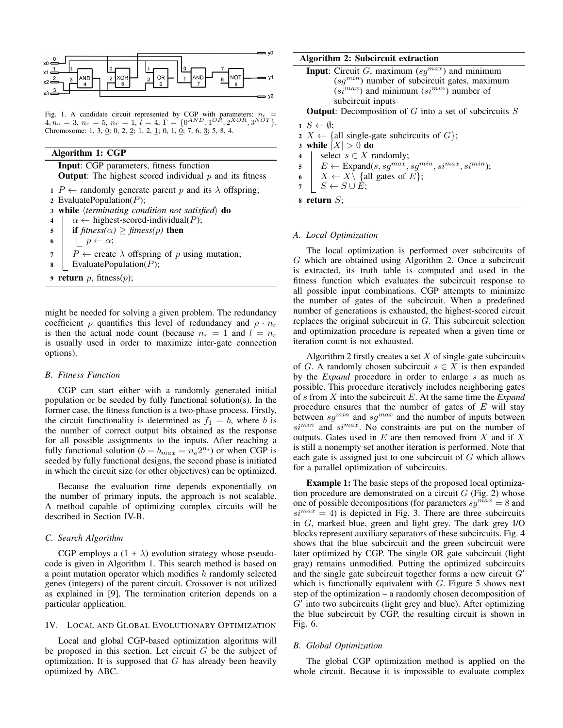

Fig. 1. A candidate circuit represented by CGP with parameters:  $n_i$  =  $4, n_o = 3, n_c = 5, n_r = 1, l = 4, \Gamma = \{0^{AND}, 1^{OR}, 2^{XOR}, 3^{NOT}\}.$ Chromosome: 1, 3, <u>0</u>; 0, 2, <u>2</u>; 1, 2, <u>1</u>; 0, 1, <u>0</u>; 7, 6, <u>3</u>; 5, 8, 4.

# Algorithm 1: CGP

Input: CGP parameters, fitness function **Output:** The highest scored individual  $p$  and its fitness

1  $P \leftarrow$  randomly generate parent p and its  $\lambda$  offspring;

- 2 EvaluatePopulation $(P)$ ;
- 3 while *\terminating condition not satisfied* do

4  $\alpha \leftarrow$  highest-scored-individual(P);

- 5 **if**  $fitness(\alpha) \geq fitness(p)$  then
- 6 |  $p \leftarrow \alpha;$

7 |  $P \leftarrow$  create  $\lambda$  offspring of p using mutation;

8 | EvaluatePopulation $(P)$ ;

9 return  $p$ , fitness $(p)$ ;

might be needed for solving a given problem. The redundancy coefficient  $\rho$  quantifies this level of redundancy and  $\rho \cdot n_c$ is then the actual node count (because  $n_r = 1$  and  $l = n_c$ ) is usually used in order to maximize inter-gate connection options).

## *B. Fitness Function*

CGP can start either with a randomly generated initial population or be seeded by fully functional solution(s). In the former case, the fitness function is a two-phase process. Firstly, the circuit functionality is determined as  $f_1 = b$ , where b is the number of correct output bits obtained as the response for all possible assignments to the inputs. After reaching a fully functional solution ( $b = b_{max} = n_0 2^{n_i}$ ) or when CGP is seeded by fully functional designs, the second phase is initiated in which the circuit size (or other objectives) can be optimized.

Because the evaluation time depends exponentially on the number of primary inputs, the approach is not scalable. A method capable of optimizing complex circuits will be described in Section IV-B.

## *C. Search Algorithm*

CGP employs a  $(1 + \lambda)$  evolution strategy whose pseudocode is given in Algorithm 1. This search method is based on a point mutation operator which modifies  $h$  randomly selected genes (integers) of the parent circuit. Crossover is not utilized as explained in [9]. The termination criterion depends on a particular application.

## IV. LOCAL AND GLOBAL EVOLUTIONARY OPTIMIZATION

Local and global CGP-based optimization algoritms will be proposed in this section. Let circuit  $G$  be the subject of optimization. It is supposed that  $G$  has already been heavily optimized by ABC.

# Algorithm 2: Subcircuit extraction

| <b>Input:</b> Circuit G, maximum $(sq^{max})$ and minimum |
|-----------------------------------------------------------|
| $(sq^{min})$ number of subcircuit gates, maximum          |
| $(s_i^{max})$ and minimum $(s_i^{min})$ number of         |
| subcircuit inputs                                         |
|                                                           |

**Output:** Decomposition of  $G$  into a set of subcircuits  $S$ 

- $1 S \leftarrow \emptyset;$
- 2  $X \leftarrow \{ \text{all single-gate subcircuits of } G \};$
- 3 while  $|X| > 0$  do
- 4 | select  $s \in X$  randomly;
- 5  $\mid E \leftarrow \text{Expand}(s, sg^{max}, sg^{min}, si^{max}, si^{min});$
- 6  $\mid X \leftarrow X \setminus \{ \text{all gates of } E \};$

7  $S \leftarrow S \cup E$ ;

 $\mathbf{s}$  return  $S$ ;

#### *A. Local Optimization*

The local optimization is performed over subcircuits of G which are obtained using Algorithm 2. Once a subcircuit is extracted, its truth table is computed and used in the fitness function which evaluates the subcircuit response to all possible input combinations. CGP attempts to minimize the number of gates of the subcircuit. When a predefined number of generations is exhausted, the highest-scored circuit replaces the original subcircuit in G. This subcircuit selection and optimization procedure is repeated when a given time or iteration count is not exhausted.

Algorithm 2 firstly creates a set  $X$  of single-gate subcircuits of G. A randomly chosen subcircuit  $s \in X$  is then expanded by the *Expand* procedure in order to enlarge s as much as possible. This procedure iteratively includes neighboring gates of s from X into the subcircuit E. At the same time the *Expand* procedure ensures that the number of gates of  $E$  will stay between  $sg^{min}$  and  $sg^{max}$  and the number of inputs between  $si^{min}$  and  $si^{max}$ . No constraints are put on the number of outputs. Gates used in  $E$  are then removed from  $X$  and if  $X$ is still a nonempty set another iteration is performed. Note that each gate is assigned just to one subcircuit of G which allows for a parallel optimization of subcircuits.

Example 1: The basic steps of the proposed local optimization procedure are demonstrated on a circuit  $G$  (Fig. 2) whose one of possible decompositions (for parameters  $sg^{max} = 8$  and  $si^{max} = 4$ ) is depicted in Fig. 3. There are three subcircuits in G, marked blue, green and light grey. The dark grey I/O blocks represent auxiliary separators of these subcircuits. Fig. 4 shows that the blue subcircuit and the green subcircuit were later optimized by CGP. The single OR gate subcircuit (light gray) remains unmodified. Putting the optimized subcircuits and the single gate subcircuit together forms a new circuit  $G'$ which is functionally equivalent with  $G$ . Figure 5 shows next step of the optimization – a randomly chosen decomposition of  $G'$  into two subcircuits (light grey and blue). After optimizing the blue subcircuit by CGP, the resulting circuit is shown in Fig. 6.

## *B. Global Optimization*

The global CGP optimization method is applied on the whole circuit. Because it is impossible to evaluate complex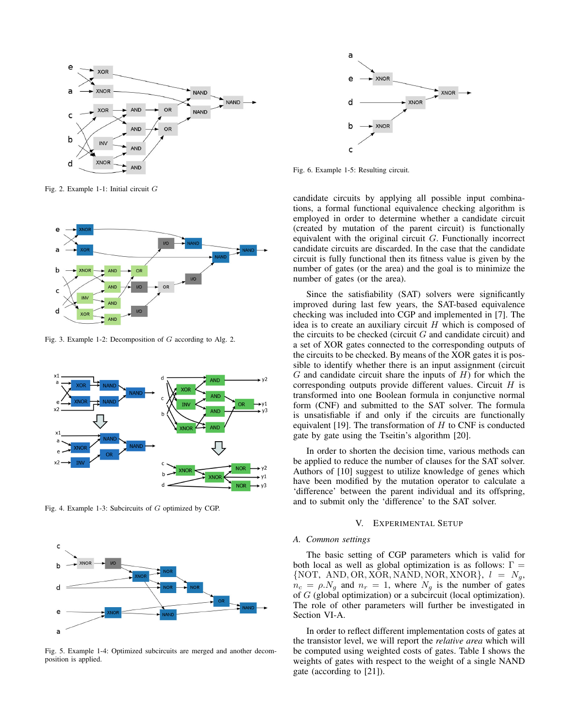

Fig. 2. Example 1-1: Initial circuit G



Fig. 3. Example 1-2: Decomposition of G according to Alg. 2.



Fig. 4. Example 1-3: Subcircuits of G optimized by CGP.



Fig. 5. Example 1-4: Optimized subcircuits are merged and another decomposition is applied.



Fig. 6. Example 1-5: Resulting circuit.

candidate circuits by applying all possible input combinations, a formal functional equivalence checking algorithm is employed in order to determine whether a candidate circuit (created by mutation of the parent circuit) is functionally equivalent with the original circuit  $G$ . Functionally incorrect candidate circuits are discarded. In the case that the candidate circuit is fully functional then its fitness value is given by the number of gates (or the area) and the goal is to minimize the number of gates (or the area).

Since the satisfiability (SAT) solvers were significantly improved during last few years, the SAT-based equivalence checking was included into CGP and implemented in [7]. The idea is to create an auxiliary circuit  $H$  which is composed of the circuits to be checked (circuit  $G$  and candidate circuit) and a set of XOR gates connected to the corresponding outputs of the circuits to be checked. By means of the XOR gates it is possible to identify whether there is an input assignment (circuit  $G$  and candidate circuit share the inputs of  $H$ ) for which the corresponding outputs provide different values. Circuit H is transformed into one Boolean formula in conjunctive normal form (CNF) and submitted to the SAT solver. The formula is unsatisfiable if and only if the circuits are functionally equivalent [19]. The transformation of  $H$  to CNF is conducted gate by gate using the Tseitin's algorithm [20].

In order to shorten the decision time, various methods can be applied to reduce the number of clauses for the SAT solver. Authors of [10] suggest to utilize knowledge of genes which have been modified by the mutation operator to calculate a 'difference' between the parent individual and its offspring, and to submit only the 'difference' to the SAT solver.

#### V. EXPERIMENTAL SETUP

#### *A. Common settings*

The basic setting of CGP parameters which is valid for both local as well as global optimization is as follows:  $\Gamma =$  ${NOT, AND, OR, XOR, NAND, NOR, XNOR}, l = N_q,$  $n_c = \rho N_g$  and  $n_r = 1$ , where  $N_g$  is the number of gates of G (global optimization) or a subcircuit (local optimization). The role of other parameters will further be investigated in Section VI-A.

In order to reflect different implementation costs of gates at the transistor level, we will report the *relative area* which will be computed using weighted costs of gates. Table I shows the weights of gates with respect to the weight of a single NAND gate (according to [21]).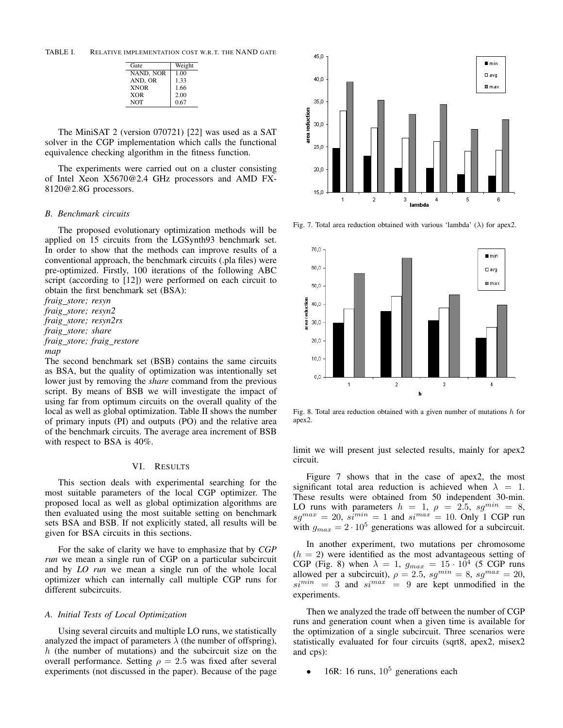TABLE I. RELATIVE IMPLEMENTATION COST W.R.T. THE NAND GATE

| Gate        | Weight |
|-------------|--------|
| NAND, NOR   | 1.00   |
| AND, OR     | 1.33   |
| <b>XNOR</b> | 1.66   |
| <b>XOR</b>  | 2.00   |
| <b>NOT</b>  | 0.67   |

The MiniSAT 2 (version 070721) [22] was used as a SAT solver in the CGP implementation which calls the functional equivalence checking algorithm in the fitness function.

The experiments were carried out on a cluster consisting of Intel Xeon X5670@2.4 GHz processors and AMD FX-8120@2.8G processors.

#### *B. Benchmark circuits*

The proposed evolutionary optimization methods will be applied on 15 circuits from the LGSynth93 benchmark set. In order to show that the methods can improve results of a conventional approach, the benchmark circuits (.pla files) were pre-optimized. Firstly, 100 iterations of the following ABC script (according to [12]) were performed on each circuit to obtain the first benchmark set (BSA):

*fraig store; resyn fraig store; resyn2 fraig store; resyn2rs fraig store; share fraig store; fraig restore map*

The second benchmark set (BSB) contains the same circuits as BSA, but the quality of optimization was intentionally set lower just by removing the *share* command from the previous script. By means of BSB we will investigate the impact of using far from optimum circuits on the overall quality of the local as well as global optimization. Table II shows the number of primary inputs (PI) and outputs (PO) and the relative area of the benchmark circuits. The average area increment of BSB with respect to BSA is 40%.

#### VI. RESULTS

This section deals with experimental searching for the most suitable parameters of the local CGP optimizer. The proposed local as well as global optimization algorithms are then evaluated using the most suitable setting on benchmark sets BSA and BSB. If not explicitly stated, all results will be given for BSA circuits in this sections.

For the sake of clarity we have to emphasize that by *CGP run* we mean a single run of CGP on a particular subcircuit and by *LO run* we mean a single run of the whole local optimizer which can internally call multiple CGP runs for different subcircuits.

#### *A. Initial Tests of Local Optimization*

Using several circuits and multiple LO runs, we statistically analyzed the impact of parameters  $\lambda$  (the number of offspring),  $h$  (the number of mutations) and the subcircuit size on the overall performance. Setting  $\rho = 2.5$  was fixed after several experiments (not discussed in the paper). Because of the page



Fig. 7. Total area reduction obtained with various 'lambda'  $(\lambda)$  for apex2.



Fig. 8. Total area reduction obtained with a given number of mutations h for apex2.

limit we will present just selected results, mainly for apex2 circuit.

Figure 7 shows that in the case of apex2, the most significant total area reduction is achieved when  $\lambda = 1$ . These results were obtained from 50 independent 30-min. LO runs with parameters  $h = 1$ ,  $\rho = 2.5$ ,  $sg^{min} = 8$ ,  $sq^{max} = 20$ ,  $si^{min} = 1$  and  $si^{max} = 10$ . Only 1 CGP run with  $g_{max} = 2 \cdot 10^5$  generations was allowed for a subcircuit.

In another experiment, two mutations per chromosome  $(h = 2)$  were identified as the most advantageous setting of CGP (Fig. 8) when  $\lambda = 1$ ,  $g_{max} = 15 \cdot 10^4$  (5 CGP runs allowed per a subcircuit),  $\rho = 2.5$ ,  $sq^{min} = 8$ ,  $sq^{max} = 20$ ,  $s^{imin}$  = 3 and  $s^{imax}$  = 9 are kept unmodified in the experiments.

Then we analyzed the trade off between the number of CGP runs and generation count when a given time is available for the optimization of a single subcircuit. Three scenarios were statistically evaluated for four circuits (sqrt8, apex2, misex2 and cps):

16R: 16 runs,  $10^5$  generations each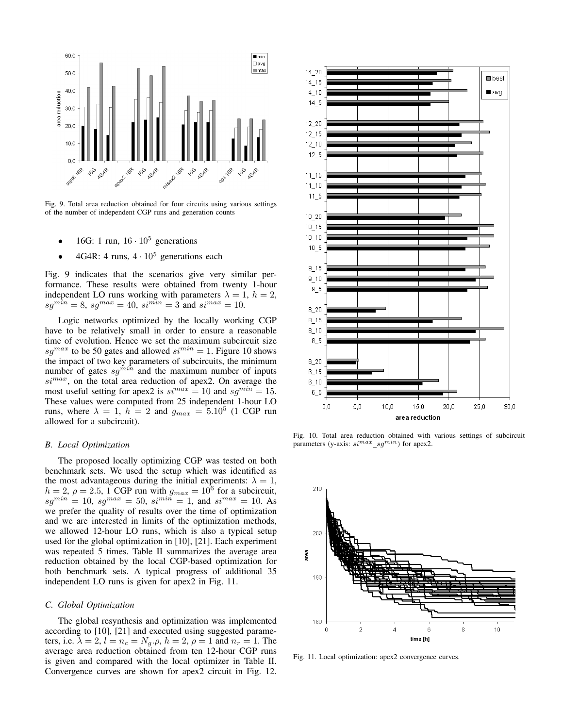

Fig. 9. Total area reduction obtained for four circuits using various settings of the number of independent CGP runs and generation counts

- 16G: 1 run,  $16 \cdot 10^5$  generations
- 4G4R: 4 runs,  $4 \cdot 10^5$  generations each

Fig. 9 indicates that the scenarios give very similar performance. These results were obtained from twenty 1-hour independent LO runs working with parameters  $\lambda = 1$ ,  $h = 2$ ,  $sq^{min} = 8$ ,  $sq^{max} = 40$ ,  $si^{min} = 3$  and  $si^{max} = 10$ .

Logic networks optimized by the locally working CGP have to be relatively small in order to ensure a reasonable time of evolution. Hence we set the maximum subcircuit size  $sg^{max}$  to be 50 gates and allowed  $si^{min} = 1$ . Figure 10 shows the impact of two key parameters of subcircuits, the minimum number of gates  $sg^{min}$  and the maximum number of inputs  $si^{max}$ , on the total area reduction of apex2. On average the most useful setting for apex2 is  $si^{max} = 10$  and  $sg^{min} = 15$ . These values were computed from 25 independent 1-hour LO runs, where  $\lambda = 1$ ,  $h = 2$  and  $g_{max} = 5.10^5$  (1 CGP run allowed for a subcircuit).

## *B. Local Optimization*

The proposed locally optimizing CGP was tested on both benchmark sets. We used the setup which was identified as the most advantageous during the initial experiments:  $\lambda = 1$ ,  $h = 2$ ,  $\rho = 2.5$ , 1 CGP run with  $g_{max} = 10^6$  for a subcircuit,  $sg^{min} = 10$ ,  $sg^{max} = 50$ ,  $si^{min} = 1$ , and  $si^{max} = 10$ . As we prefer the quality of results over the time of optimization and we are interested in limits of the optimization methods, we allowed 12-hour LO runs, which is also a typical setup used for the global optimization in [10], [21]. Each experiment was repeated 5 times. Table II summarizes the average area reduction obtained by the local CGP-based optimization for both benchmark sets. A typical progress of additional 35 independent LO runs is given for apex2 in Fig. 11.

## *C. Global Optimization*

The global resynthesis and optimization was implemented according to [10], [21] and executed using suggested parameters, i.e.  $\lambda = 2$ ,  $l = n_c = N_g \cdot \rho$ ,  $h = 2$ ,  $\rho = 1$  and  $n_r = 1$ . The average area reduction obtained from ten 12-hour CGP runs is given and compared with the local optimizer in Table II. Convergence curves are shown for apex2 circuit in Fig. 12.



Fig. 10. Total area reduction obtained with various settings of subcircuit parameters (y-axis:  $si^{max}$  \_sg<sup>min</sup>) for apex2.



Fig. 11. Local optimization: apex2 convergence curves.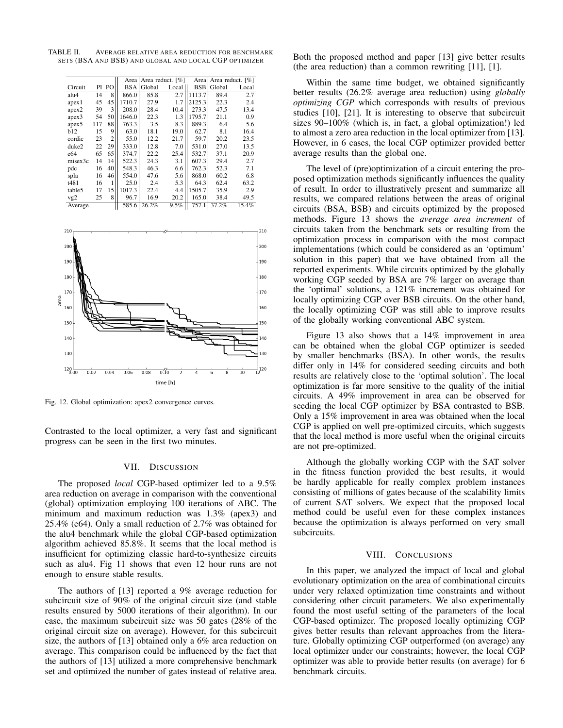TABLE II. AVERAGE RELATIVE AREA REDUCTION FOR BENCHMARK SETS (BSA AND BSB) AND GLOBAL AND LOCAL CGP OPTIMIZER

|                   |     |                |            |        | Area   Area reduct. [%] | Area       | Area reduct. [%] |       |
|-------------------|-----|----------------|------------|--------|-------------------------|------------|------------------|-------|
| Circuit           |     | PI PO          | <b>BSA</b> | Global | Local                   | <b>BSB</b> | Global           | Local |
| alu4              | 14  | 8              | 866.0      | 85.8   | 2.7                     | 1113.7     | 89.4             | 2.7   |
| apex1             | 45  | 45             | 1710.7     | 27.9   | 1.7                     | 2125.3     | 22.3             | 2.4   |
| apex2             | 39  | 3              | 208.0      | 28.4   | 10.4                    | 273.3      | 47.5             | 13.4  |
| apex <sub>3</sub> | 54  | 50             | 1646.0     | 22.3   | 1.3                     | 1795.7     | 21.1             | 0.9   |
| apex <sub>5</sub> | 117 | 88             | 763.3      | 3.5    | 8.3                     | 889.3      | 6.4              | 5.6   |
| b12               | 15  | 9              | 63.0       | 18.1   | 19.0                    | 62.7       | 8.1              | 16.4  |
| cordic            | 23  | $\overline{c}$ | 55.0       | 12.2   | 21.7                    | 59.7       | 20.2             | 23.5  |
| duke2             | 22  | 29             | 333.0      | 12.8   | 7.0                     | 531.0      | 27.0             | 13.5  |
| e64               | 65  | 65             | 374.7      | 22.2   | 25.4                    | 532.7      | 37.1             | 20.9  |
| misex3c           | 14  | 14             | 522.3      | 24.3   | 3.1                     | 607.3      | 29.4             | 2.7   |
| pdc               | 16  | 40             | 548.3      | 46.3   | 6.6                     | 762.3      | 52.3             | 7.1   |
| spla              | 16  | 46             | 554.0      | 47.6   | 5.6                     | 868.0      | 60.2             | 6.8   |
| t481              | 16  | 1              | 25.0       | 2.4    | 5.3                     | 64.3       | 62.4             | 63.2  |
| table5            | 17  | 15             | 1017.3     | 22.4   | 4.4                     | 1505.7     | 35.9             | 2.9   |
| vg2               | 25  | 8              | 96.7       | 16.9   | 20.2                    | 165.0      | 38.4             | 49.5  |
| Average           |     |                | 585.6      | 26.2%  | 9.5%                    | 757.1      | 37.2%            | 15.4% |



Fig. 12. Global optimization: apex2 convergence curves.

Contrasted to the local optimizer, a very fast and significant progress can be seen in the first two minutes.

#### VII. DISCUSSION

The proposed *local* CGP-based optimizer led to a 9.5% area reduction on average in comparison with the conventional (global) optimization employing 100 iterations of ABC. The minimum and maximum reduction was 1.3% (apex3) and 25.4% (e64). Only a small reduction of 2.7% was obtained for the alu4 benchmark while the global CGP-based optimization algorithm achieved 85.8%. It seems that the local method is insufficient for optimizing classic hard-to-synthesize circuits such as alu4. Fig 11 shows that even 12 hour runs are not enough to ensure stable results.

The authors of [13] reported a 9% average reduction for subcircuit size of 90% of the original circuit size (and stable results ensured by 5000 iterations of their algorithm). In our case, the maximum subcircuit size was 50 gates (28% of the original circuit size on average). However, for this subcircuit size, the authors of [13] obtained only a 6% area reduction on average. This comparison could be influenced by the fact that the authors of [13] utilized a more comprehensive benchmark set and optimized the number of gates instead of relative area. Both the proposed method and paper [13] give better results (the area reduction) than a common rewriting [11], [1].

Within the same time budget, we obtained significantly better results (26.2% average area reduction) using *globally optimizing CGP* which corresponds with results of previous studies [10], [21]. It is interesting to observe that subcircuit sizes 90–100% (which is, in fact, a global optimization!) led to almost a zero area reduction in the local optimizer from [13]. However, in 6 cases, the local CGP optimizer provided better average results than the global one.

The level of (pre)optimization of a circuit entering the proposed optimization methods significantly influences the quality of result. In order to illustratively present and summarize all results, we compared relations between the areas of original circuits (BSA, BSB) and circuits optimized by the proposed methods. Figure 13 shows the *average area increment* of circuits taken from the benchmark sets or resulting from the optimization process in comparison with the most compact implementations (which could be considered as an 'optimum' solution in this paper) that we have obtained from all the reported experiments. While circuits optimized by the globally working CGP seeded by BSA are 7% larger on average than the 'optimal' solutions, a 121% increment was obtained for locally optimizing CGP over BSB circuits. On the other hand, the locally optimizing CGP was still able to improve results of the globally working conventional ABC system.

Figure 13 also shows that a 14% improvement in area can be obtained when the global CGP optimizer is seeded by smaller benchmarks (BSA). In other words, the results differ only in 14% for considered seeding circuits and both results are relatively close to the 'optimal solution'. The local optimization is far more sensitive to the quality of the initial circuits. A 49% improvement in area can be observed for seeding the local CGP optimizer by BSA contrasted to BSB. Only a 15% improvement in area was obtained when the local CGP is applied on well pre-optimized circuits, which suggests that the local method is more useful when the original circuits are not pre-optimized.

Although the globally working CGP with the SAT solver in the fitness function provided the best results, it would be hardly applicable for really complex problem instances consisting of millions of gates because of the scalability limits of current SAT solvers. We expect that the proposed local method could be useful even for these complex instances because the optimization is always performed on very small subcircuits.

#### VIII. CONCLUSIONS

In this paper, we analyzed the impact of local and global evolutionary optimization on the area of combinational circuits under very relaxed optimization time constraints and without considering other circuit parameters. We also experimentally found the most useful setting of the parameters of the local CGP-based optimizer. The proposed locally optimizing CGP gives better results than relevant approaches from the literature. Globally optimizing CGP outperformed (on average) any local optimizer under our constraints; however, the local CGP optimizer was able to provide better results (on average) for 6 benchmark circuits.